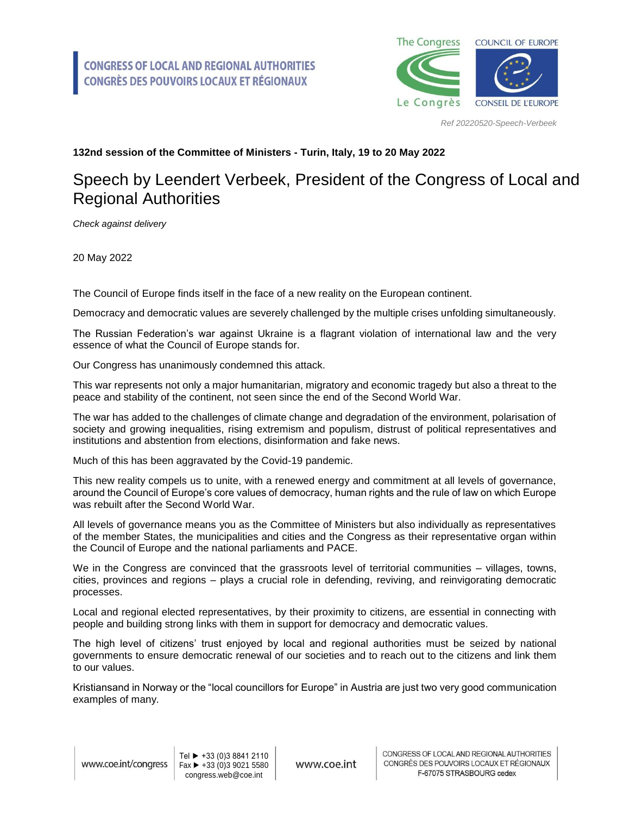

*Ref 20220520-Speech-Verbeek*

## **132nd session of the Committee of Ministers - Turin, Italy, 19 to 20 May 2022**

## Speech by Leendert Verbeek, President of the Congress of Local and Regional Authorities

*Check against delivery*

20 May 2022

The Council of Europe finds itself in the face of a new reality on the European continent.

Democracy and democratic values are severely challenged by the multiple crises unfolding simultaneously.

The Russian Federation's war against Ukraine is a flagrant violation of international law and the very essence of what the Council of Europe stands for.

Our Congress has unanimously condemned this attack.

This war represents not only a major humanitarian, migratory and economic tragedy but also a threat to the peace and stability of the continent, not seen since the end of the Second World War.

The war has added to the challenges of climate change and degradation of the environment, polarisation of society and growing inequalities, rising extremism and populism, distrust of political representatives and institutions and abstention from elections, disinformation and fake news.

Much of this has been aggravated by the Covid-19 pandemic.

This new reality compels us to unite, with a renewed energy and commitment at all levels of governance, around the Council of Europe's core values of democracy, human rights and the rule of law on which Europe was rebuilt after the Second World War.

All levels of governance means you as the Committee of Ministers but also individually as representatives of the member States, the municipalities and cities and the Congress as their representative organ within the Council of Europe and the national parliaments and PACE.

We in the Congress are convinced that the grassroots level of territorial communities – villages, towns, cities, provinces and regions – plays a crucial role in defending, reviving, and reinvigorating democratic processes.

Local and regional elected representatives, by their proximity to citizens, are essential in connecting with people and building strong links with them in support for democracy and democratic values.

The high level of citizens' trust enjoyed by local and regional authorities must be seized by national governments to ensure democratic renewal of our societies and to reach out to the citizens and link them to our values.

Kristiansand in Norway or the "local councillors for Europe" in Austria are just two very good communication examples of many.